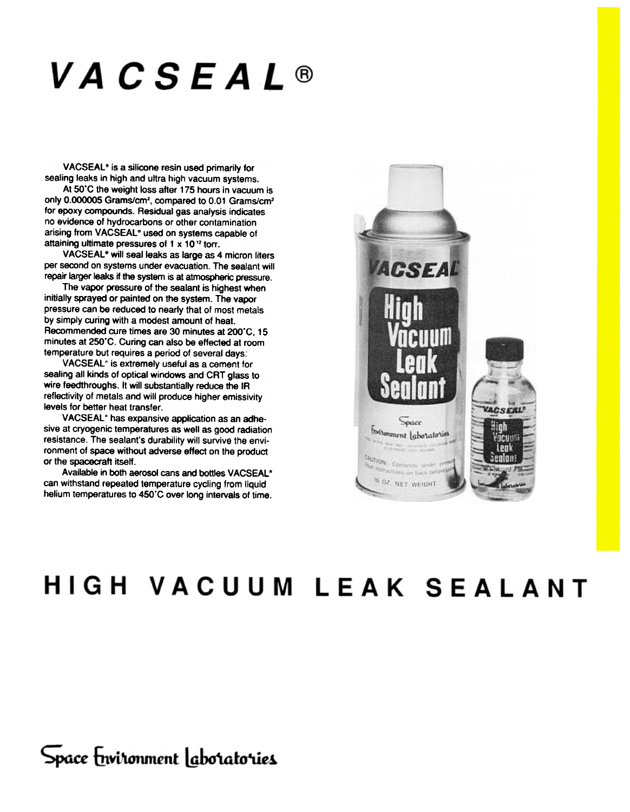# **VACSEAL®**

VACSEAL<sup>®</sup> is a silicone resin used primarily for sealing leaks in high and ultra high vacuum systems.

At 50'C the weight loss after 175 hours in vacuum is only 0.000005 Grams/cm<sup>2</sup>, compared to 0.01 Grams/cm<sup>2</sup> for epoxy compounds. Residual gas analysis indicates<br>no evidence of hydrocarbons or other contamination<br>arising from VACSEAL" used on systems capable of attaining ultimate pressures of 1  $\times$  10 $^{12}$  torr.

VACSEAL<sup>®</sup> will seal leaks as large as 4 micron liters per second on systems under evacuation. The sealant will repair larger leaks if the system is at atmospheric pressure.

The vapor pressure of the sealant is highest when initially sprayed or painted on the system. The vapor pressure can be reduced to nearly that of most metals by simply curing with a modest amount of heat.<br>Recommended cure times are 30 minutes at 200°C, 15 minutes at 250°C. Curing can also be effected at room temperature but requires a period of several days:

VACSEAL<sup>®</sup> is extremely useful as a cement for sealing all kinds of optical windows and CRT glass to wire feedthroughs. It will substantially reduce the IR reflectivity of metals and will produce higher emissivity levels for better heat transfer.

VACSEAL<sup>®</sup> has expansive application as an adhesive at cryogenic temperatures as well as good radiation resistance. The sealant's durability will survive the environment of space without adverse effect on the product or the spacecraft itself.

Available in both aerosol cans and bottles VACSEAL<sup>®</sup> can withstand repeated temperature cycling from liquid helium temperatures to 450°C over long intervals of time.



## HIGH VACUUM LEAK SEALANT

Space Environment laboratories